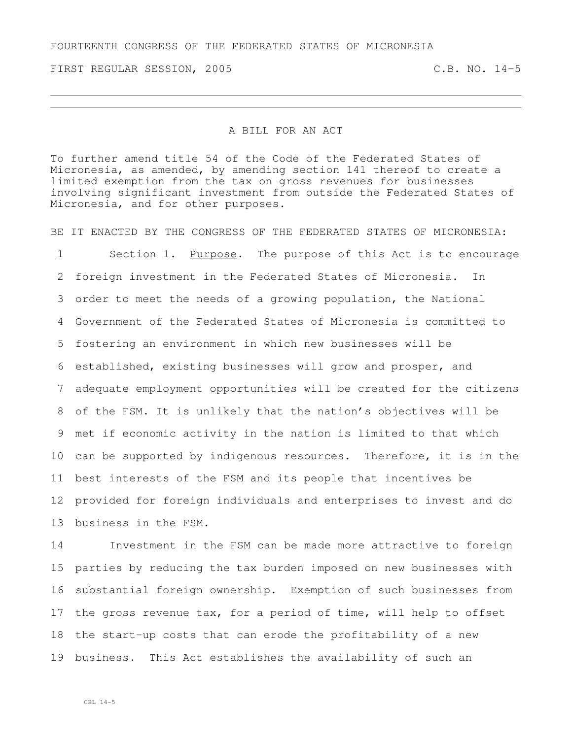FOURTEENTH CONGRESS OF THE FEDERATED STATES OF MICRONESIA

FIRST REGULAR SESSION, 2005 C.B. NO. 14-5

## A BILL FOR AN ACT

To further amend title 54 of the Code of the Federated States of Micronesia, as amended, by amending section 141 thereof to create a limited exemption from the tax on gross revenues for businesses involving significant investment from outside the Federated States of Micronesia, and for other purposes.

BE IT ENACTED BY THE CONGRESS OF THE FEDERATED STATES OF MICRONESIA:

 Section 1. Purpose. The purpose of this Act is to encourage foreign investment in the Federated States of Micronesia. In order to meet the needs of a growing population, the National Government of the Federated States of Micronesia is committed to fostering an environment in which new businesses will be established, existing businesses will grow and prosper, and adequate employment opportunities will be created for the citizens of the FSM. It is unlikely that the nation's objectives will be met if economic activity in the nation is limited to that which can be supported by indigenous resources. Therefore, it is in the best interests of the FSM and its people that incentives be provided for foreign individuals and enterprises to invest and do business in the FSM.

 Investment in the FSM can be made more attractive to foreign parties by reducing the tax burden imposed on new businesses with substantial foreign ownership. Exemption of such businesses from the gross revenue tax, for a period of time, will help to offset the start-up costs that can erode the profitability of a new business. This Act establishes the availability of such an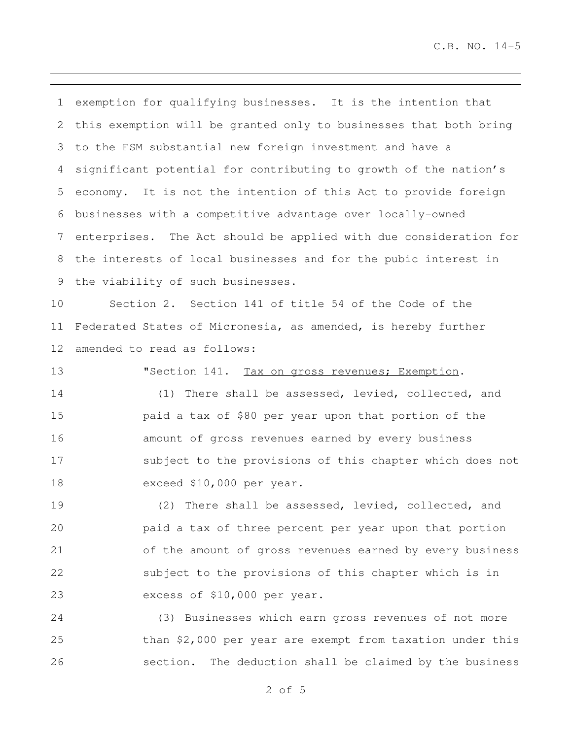C.B. NO. 14-5

 exemption for qualifying businesses. It is the intention that this exemption will be granted only to businesses that both bring to the FSM substantial new foreign investment and have a significant potential for contributing to growth of the nation's economy. It is not the intention of this Act to provide foreign businesses with a competitive advantage over locally-owned enterprises. The Act should be applied with due consideration for the interests of local businesses and for the pubic interest in the viability of such businesses.

 Section 2. Section 141 of title 54 of the Code of the Federated States of Micronesia, as amended, is hereby further amended to read as follows:

13 "Section 141. Tax on gross revenues; Exemption.

 (1) There shall be assessed, levied, collected, and paid a tax of \$80 per year upon that portion of the amount of gross revenues earned by every business subject to the provisions of this chapter which does not exceed \$10,000 per year.

 (2) There shall be assessed, levied, collected, and paid a tax of three percent per year upon that portion of the amount of gross revenues earned by every business subject to the provisions of this chapter which is in excess of \$10,000 per year.

 (3) Businesses which earn gross revenues of not more than \$2,000 per year are exempt from taxation under this section. The deduction shall be claimed by the business

of 5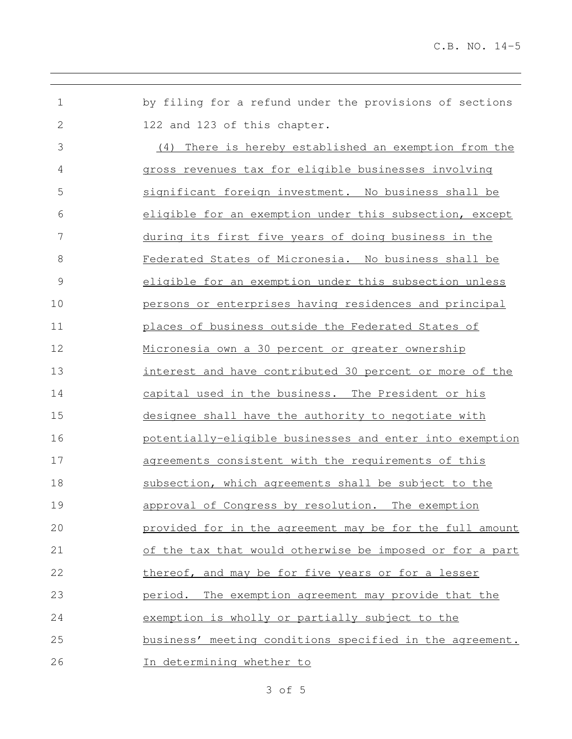by filing for a refund under the provisions of sections 122 and 123 of this chapter. (4) There is hereby established an exemption from the gross revenues tax for eligible businesses involving significant foreign investment. No business shall be eligible for an exemption under this subsection, except during its first five years of doing business in the Federated States of Micronesia. No business shall be eligible for an exemption under this subsection unless persons or enterprises having residences and principal places of business outside the Federated States of 12 Micronesia own a 30 percent or greater ownership interest and have contributed 30 percent or more of the capital used in the business. The President or his designee shall have the authority to negotiate with potentially-eligible businesses and enter into exemption agreements consistent with the requirements of this subsection, which agreements shall be subject to the approval of Congress by resolution. The exemption provided for in the agreement may be for the full amount of the tax that would otherwise be imposed or for a part thereof, and may be for five years or for a lesser period. The exemption agreement may provide that the exemption is wholly or partially subject to the business' meeting conditions specified in the agreement. In determining whether to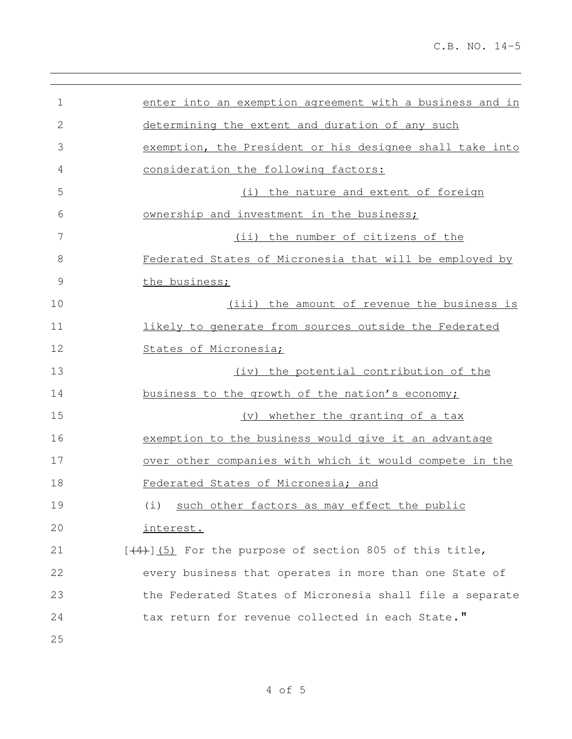| 1             | enter into an exemption agreement with a business and in |
|---------------|----------------------------------------------------------|
| $\mathbf{2}$  | determining the extent and duration of any such          |
| 3             | exemption, the President or his designee shall take into |
| 4             | consideration the following factors:                     |
| 5             | (i) the nature and extent of foreign                     |
| 6             | ownership and investment in the business;                |
| 7             | (ii) the number of citizens of the                       |
| $\,8\,$       | Federated States of Micronesia that will be employed by  |
| $\mathcal{G}$ | the business;                                            |
| 10            | (iii) the amount of revenue the business is              |
| 11            | likely to generate from sources outside the Federated    |
| 12            | States of Micronesia;                                    |
| 13            | (iv) the potential contribution of the                   |
| 14            | business to the growth of the nation's economy;          |
| 15            | (v) whether the granting of a tax                        |
| 16            | exemption to the business would give it an advantage     |
| 17            | over other companies with which it would compete in the  |
| 18            | Federated States of Micronesia; and                      |
| 19            | (i) such other factors as may effect the public          |
| 20            | interest.                                                |
| 21            | $[44)$ (5) For the purpose of section 805 of this title, |
| 22            | every business that operates in more than one State of   |
| 23            | the Federated States of Micronesia shall file a separate |
| 24            | tax return for revenue collected in each State."         |
| 25            |                                                          |